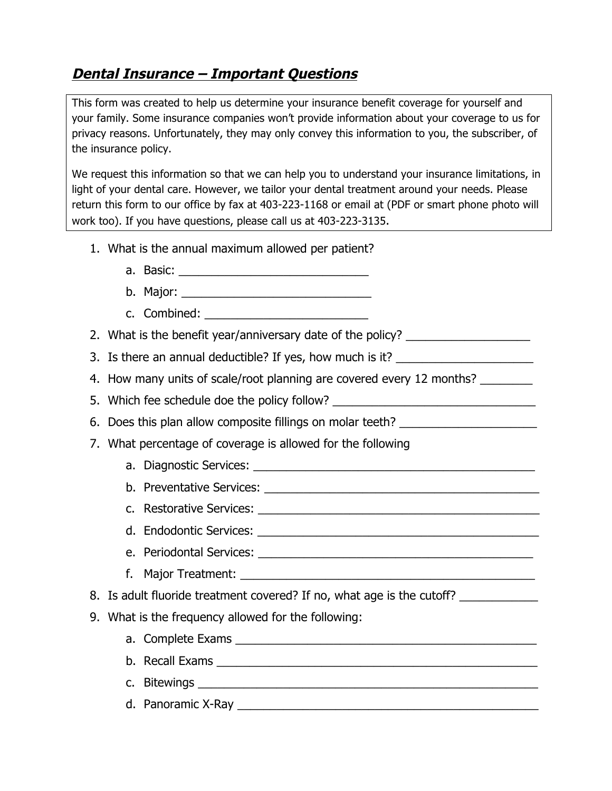## **Dental Insurance – Important Questions**

This form was created to help us determine your insurance benefit coverage for yourself and your family. Some insurance companies won't provide information about your coverage to us for privacy reasons. Unfortunately, they may only convey this information to you, the subscriber, of the insurance policy.

We request this information so that we can help you to understand your insurance limitations, in light of your dental care. However, we tailor your dental treatment around your needs. Please return this form to our office by fax at 403-223-1168 or email at (PDF or smart phone photo will work too). If you have questions, please call us at 403-223-3135.

- 1. What is the annual maximum allowed per patient?
	- a. Basic: \_\_\_\_\_\_\_\_\_\_\_\_\_\_\_\_\_\_\_\_\_\_\_\_\_\_\_\_\_
	- b. Major:
	- c. Combined:
- 2. What is the benefit year/anniversary date of the policy?
- 3. Is there an annual deductible? If yes, how much is it?
- 4. How many units of scale/root planning are covered every 12 months?
- 5. Which fee schedule doe the policy follow? \_\_\_\_\_\_\_\_\_\_\_\_\_\_\_\_\_\_\_\_\_\_\_\_\_\_\_\_\_\_\_\_\_\_\_
- 6. Does this plan allow composite fillings on molar teeth? \_\_\_\_\_\_\_\_\_\_\_\_\_\_\_\_\_\_\_\_\_
- 7. What percentage of coverage is allowed for the following
	- a. Diagnostic Services: \_\_\_\_\_\_\_\_\_\_\_\_\_\_\_\_\_\_\_\_\_\_\_\_\_\_\_\_\_\_\_\_\_\_\_\_\_\_\_\_\_\_\_
	- b. Preventative Services: \_\_\_\_\_\_\_\_\_\_\_\_\_\_\_\_\_\_\_\_\_\_\_\_\_\_\_\_\_\_\_\_\_\_\_\_\_\_\_\_\_\_
	- c. Restorative Services: \_\_\_\_\_\_\_\_\_\_\_\_\_\_\_\_\_\_\_\_\_\_\_\_\_\_\_\_\_\_\_\_\_\_\_\_\_\_\_\_\_\_\_
	- d. Endodontic Services: \_\_\_\_\_\_\_\_\_\_\_\_\_\_\_\_\_\_\_\_\_\_\_\_\_\_\_\_\_\_\_\_\_\_\_\_\_\_\_\_\_\_\_
	- e. Periodontal Services: \_\_\_\_\_\_\_\_\_\_\_\_\_\_\_\_\_\_\_\_\_\_\_\_\_\_\_\_\_\_\_\_\_\_\_\_\_\_\_\_\_\_
	- f. Major Treatment: \_\_\_\_\_\_\_\_\_\_\_\_\_\_\_\_\_\_\_\_\_\_\_\_\_\_\_\_\_\_\_\_\_\_\_\_\_\_\_\_\_\_\_\_\_
- 8. Is adult fluoride treatment covered? If no, what age is the cutoff?
- 9. What is the frequency allowed for the following:
	- a. Complete Exams \_\_\_\_\_\_\_\_\_\_\_\_\_\_\_\_\_\_\_\_\_\_\_\_\_\_\_\_\_\_\_\_\_\_\_\_\_\_\_\_\_\_\_\_\_\_
	- b. Recall Exams **Exams** and the set of the set of the set of the set of the set of the set of the set of the set of the set of the set of the set of the set of the set of the set of the set of the set of the set of the set
	- c. Bitewings \_\_\_\_\_\_\_\_\_\_\_\_\_\_\_\_\_\_\_\_\_\_\_\_\_\_\_\_\_\_\_\_\_\_\_\_\_\_\_\_\_\_\_\_\_\_\_\_\_\_\_\_
	- d. Panoramic X-Ray \_\_\_\_\_\_\_\_\_\_\_\_\_\_\_\_\_\_\_\_\_\_\_\_\_\_\_\_\_\_\_\_\_\_\_\_\_\_\_\_\_\_\_\_\_\_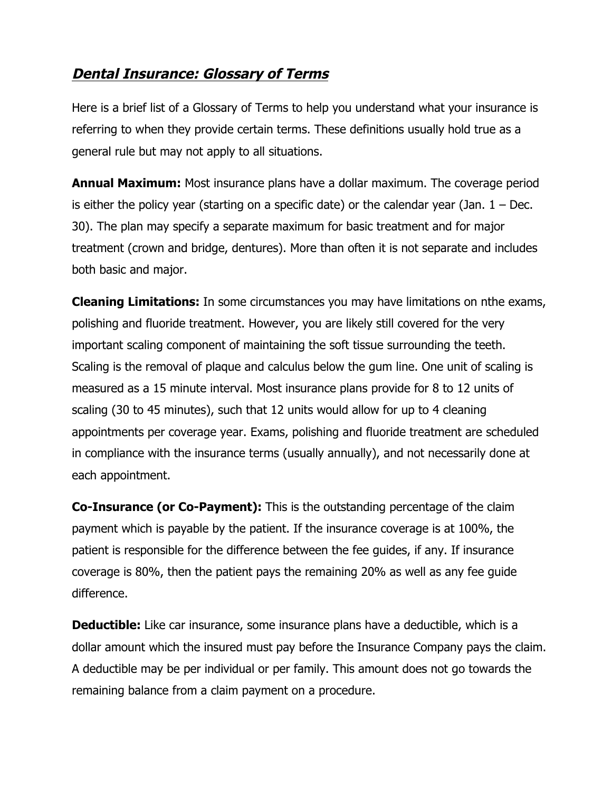## **Dental Insurance: Glossary of Terms**

Here is a brief list of a Glossary of Terms to help you understand what your insurance is referring to when they provide certain terms. These definitions usually hold true as a general rule but may not apply to all situations.

**Annual Maximum:** Most insurance plans have a dollar maximum. The coverage period is either the policy year (starting on a specific date) or the calendar year (Jan.  $1 - Dec$ . 30). The plan may specify a separate maximum for basic treatment and for major treatment (crown and bridge, dentures). More than often it is not separate and includes both basic and major.

**Cleaning Limitations:** In some circumstances you may have limitations on nthe exams, polishing and fluoride treatment. However, you are likely still covered for the very important scaling component of maintaining the soft tissue surrounding the teeth. Scaling is the removal of plaque and calculus below the gum line. One unit of scaling is measured as a 15 minute interval. Most insurance plans provide for 8 to 12 units of scaling (30 to 45 minutes), such that 12 units would allow for up to 4 cleaning appointments per coverage year. Exams, polishing and fluoride treatment are scheduled in compliance with the insurance terms (usually annually), and not necessarily done at each appointment.

**Co-Insurance (or Co-Payment):** This is the outstanding percentage of the claim payment which is payable by the patient. If the insurance coverage is at 100%, the patient is responsible for the difference between the fee guides, if any. If insurance coverage is 80%, then the patient pays the remaining 20% as well as any fee guide difference.

**Deductible:** Like car insurance, some insurance plans have a deductible, which is a dollar amount which the insured must pay before the Insurance Company pays the claim. A deductible may be per individual or per family. This amount does not go towards the remaining balance from a claim payment on a procedure.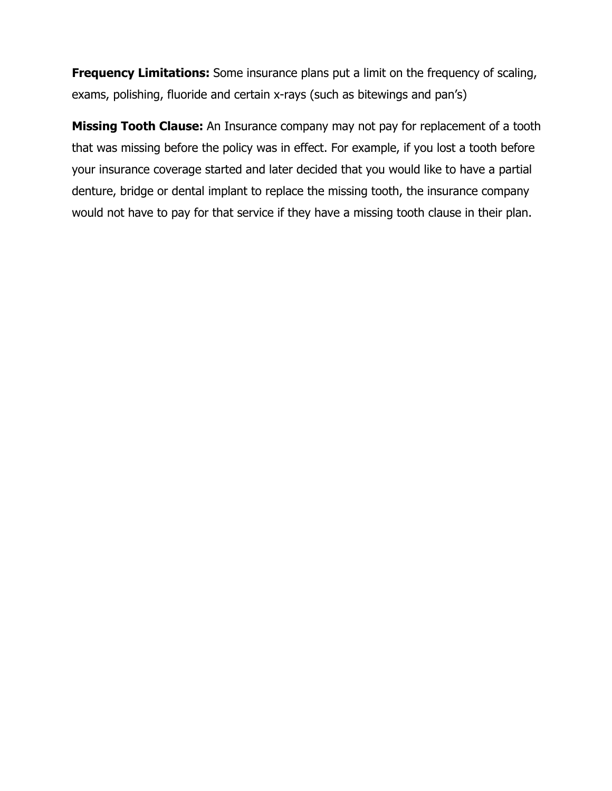**Frequency Limitations:** Some insurance plans put a limit on the frequency of scaling, exams, polishing, fluoride and certain x-rays (such as bitewings and pan's)

**Missing Tooth Clause:** An Insurance company may not pay for replacement of a tooth that was missing before the policy was in effect. For example, if you lost a tooth before your insurance coverage started and later decided that you would like to have a partial denture, bridge or dental implant to replace the missing tooth, the insurance company would not have to pay for that service if they have a missing tooth clause in their plan.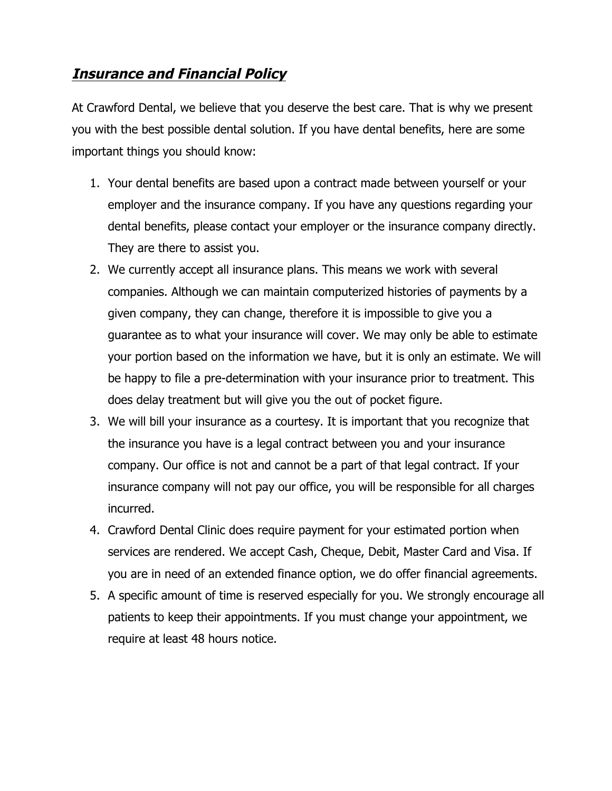## **Insurance and Financial Policy**

At Crawford Dental, we believe that you deserve the best care. That is why we present you with the best possible dental solution. If you have dental benefits, here are some important things you should know:

- 1. Your dental benefits are based upon a contract made between yourself or your employer and the insurance company. If you have any questions regarding your dental benefits, please contact your employer or the insurance company directly. They are there to assist you.
- 2. We currently accept all insurance plans. This means we work with several companies. Although we can maintain computerized histories of payments by a given company, they can change, therefore it is impossible to give you a guarantee as to what your insurance will cover. We may only be able to estimate your portion based on the information we have, but it is only an estimate. We will be happy to file a pre-determination with your insurance prior to treatment. This does delay treatment but will give you the out of pocket figure.
- 3. We will bill your insurance as a courtesy. It is important that you recognize that the insurance you have is a legal contract between you and your insurance company. Our office is not and cannot be a part of that legal contract. If your insurance company will not pay our office, you will be responsible for all charges incurred.
- 4. Crawford Dental Clinic does require payment for your estimated portion when services are rendered. We accept Cash, Cheque, Debit, Master Card and Visa. If you are in need of an extended finance option, we do offer financial agreements.
- 5. A specific amount of time is reserved especially for you. We strongly encourage all patients to keep their appointments. If you must change your appointment, we require at least 48 hours notice.